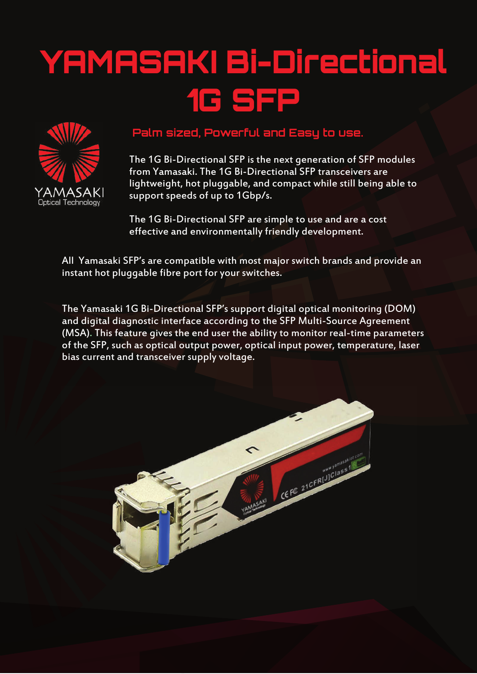## YAMASAKI Bi-Directional 1G SFP



## **Palm sized, Powerful and Easy to use.**

The 1G Bi-Directional SFP is the next generation of SFP modules from Yamasaki. The 1G Bi-Directional SFP transceivers are lightweight, hot pluggable, and compact while still being able to support speeds of up to 1Gbp/s.

The 1G Bi-Directional SFP are simple to use and are a cost effective and environmentally friendly development.

All Yamasaki SFP's are compatible with most major switch brands and provide an instant hot pluggable fibre port for your switches.

The Yamasaki 1G Bi-Directional SFP's support digital optical monitoring (DOM) and digital diagnostic interface according to the SFP Multi-Source Agreement (MSA). This feature gives the end user the ability to monitor real-time parameters of the SFP, such as optical output power, optical input power, temperature, laser bias current and transceiver supply voltage.

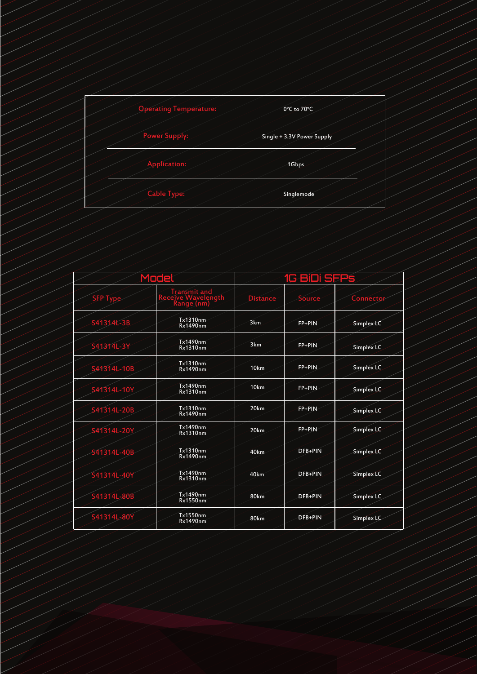| <b>Operating Temperature:</b> | 0°C to 70°C                |
|-------------------------------|----------------------------|
| <b>Power Supply:</b>          | Single + 3.3V Power Supply |
| Application:                  | 1Gbps                      |
| Cable Type:                   | Singlemode                 |

|                 | Módel                                            |                  | G BiDi SFPS |            |
|-----------------|--------------------------------------------------|------------------|-------------|------------|
| <b>SEP Type</b> | Transmit and<br>Receive Wayelength<br>Range (nm) | <b>Distance</b>  | Source      | Connector  |
| S41314L-3B      | Tx1310nm<br><b>Rx1490nm</b>                      | 3km              | FP+PIN      | Simplex LC |
| S41314L-3Y      | Tx1490nm<br>Rx1310nm                             | 3km              | FP+PIN      | Simplex LC |
| S41314L-10B     | Tx1310nm<br>Rx1490nm                             | 10km             | FP+PIN      | Simplex LC |
| S41314L-10Y     | Tx1490nm<br><b>Rx1310nm</b>                      | 10 <sub>km</sub> | FP+PIN      | Simplex LC |
| S41314L-20B     | Tx1310nm<br><b>Rx1490nm</b>                      | 20 <sub>km</sub> | FP+PIN      | Simplex LC |
| S41314L-20Y     | Tx1490nm<br><b>Rx1310nm</b>                      | 20 <sub>km</sub> | FP+PIN      | Simplex LC |
| S41314L-40B     | Tx1310nm<br><b>Rx1490nm</b>                      | 40km             | DFB+PIN     | Simplex LC |
| S41314L-40Y     | Tx1490nm<br>Rx1310nm                             | 40 <sub>km</sub> | DFB+PIN     | Simplex LC |
| S41314L-80B     | Tx1490nm<br><b>Rx1550nm</b>                      | 80km             | DFB+PIN     | Simplex LC |
| S41314L-80Y     | Tx1550nm<br><b>Rx1490nm</b>                      | 80km             | DFB+PIN     | Simplex LC |